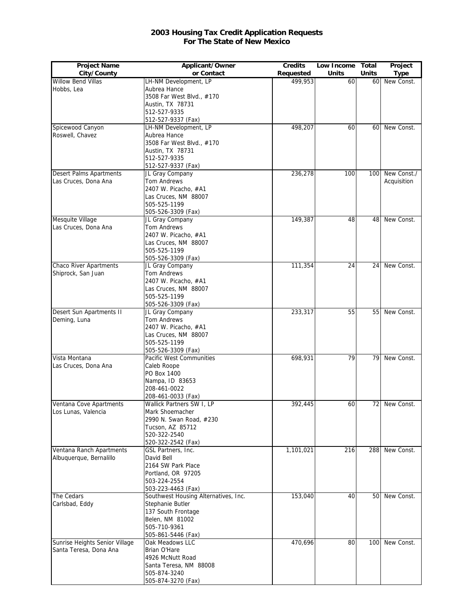## **2003 Housing Tax Credit Application Requests For The State of New Mexico**

| <b>Project Name</b>            | Applicant/Owner                      | <b>Credits</b> | Low Income Total |              | Project       |
|--------------------------------|--------------------------------------|----------------|------------------|--------------|---------------|
| City/County                    | or Contact                           | Requested      | <b>Units</b>     | <b>Units</b> | <b>Type</b>   |
| Willow Bend Villas             | LH-NM Development, LP                | 499,953        | 60               | 60           | New Const.    |
| Hobbs, Lea                     | Aubrea Hance                         |                |                  |              |               |
|                                | 3508 Far West Blvd., #170            |                |                  |              |               |
|                                | Austin, TX 78731                     |                |                  |              |               |
|                                | 512-527-9335                         |                |                  |              |               |
|                                | 512-527-9337 (Fax)                   |                |                  |              |               |
| Spicewood Canyon               | LH-NM Development, LP                | 498,207        | 60               | 60           | New Const.    |
| Roswell, Chavez                | Aubrea Hance                         |                |                  |              |               |
|                                | 3508 Far West Blvd., #170            |                |                  |              |               |
|                                | Austin, TX 78731                     |                |                  |              |               |
|                                | 512-527-9335<br>512-527-9337 (Fax)   |                |                  |              |               |
| Desert Palms Apartments        | JL Gray Company                      | 236,278        | 100              | 100          | New Const.    |
| Las Cruces, Dona Ana           | Tom Andrews                          |                |                  |              | Acquisition   |
|                                | 2407 W. Picacho, #A1                 |                |                  |              |               |
|                                | Las Cruces, NM 88007                 |                |                  |              |               |
|                                | 505-525-1199                         |                |                  |              |               |
|                                | 505-526-3309 (Fax)                   |                |                  |              |               |
| Mesquite Village               | JL Gray Company                      | 149,387        | 48               | 48           | New Const.    |
| Las Cruces, Dona Ana           | Tom Andrews                          |                |                  |              |               |
|                                | 2407 W. Picacho, #A1                 |                |                  |              |               |
|                                | Las Cruces, NM 88007                 |                |                  |              |               |
|                                | 505-525-1199                         |                |                  |              |               |
|                                | 505-526-3309 (Fax)                   |                |                  |              |               |
| <b>Chaco River Apartments</b>  | JL Gray Company                      | 111,354        | 24               | 24           | New Const.    |
| Shiprock, San Juan             | Tom Andrews                          |                |                  |              |               |
|                                | 2407 W. Picacho, #A1                 |                |                  |              |               |
|                                | Las Cruces, NM 88007                 |                |                  |              |               |
|                                | 505-525-1199                         |                |                  |              |               |
|                                | 505-526-3309 (Fax)                   |                |                  |              |               |
| Desert Sun Apartments II       | JL Gray Company                      | 233,317        | 55               | 55           | New Const.    |
| Deming, Luna                   | Tom Andrews                          |                |                  |              |               |
|                                | 2407 W. Picacho, #A1                 |                |                  |              |               |
|                                | Las Cruces, NM 88007                 |                |                  |              |               |
|                                | 505-525-1199                         |                |                  |              |               |
|                                | 505-526-3309 (Fax)                   |                |                  |              |               |
| Vista Montana                  | Pacific West Communities             | 698,931        | 79               | 79           | New Const.    |
| Las Cruces, Dona Ana           | Caleb Roope                          |                |                  |              |               |
|                                | PO Box 1400                          |                |                  |              |               |
|                                | Nampa, ID 83653                      |                |                  |              |               |
|                                | 208-461-0022<br>208-461-0033 (Fax)   |                |                  |              |               |
| Ventana Cove Apartments        | Wallick Partners SW I, LP            | 392,445        | 60               |              | 72 New Const. |
| Los Lunas, Valencia            | Mark Shoemacher                      |                |                  |              |               |
|                                | 2990 N. Swan Road, #230              |                |                  |              |               |
|                                | Tucson, AZ 85712                     |                |                  |              |               |
|                                | 520-322-2540                         |                |                  |              |               |
|                                | 520-322-2542 (Fax)                   |                |                  |              |               |
| Ventana Ranch Apartments       | GSL Partners, Inc.                   | 1,101,021      | 216              | 288          | New Const.    |
| Albuquerque, Bernalillo        | David Bell                           |                |                  |              |               |
|                                | 2164 SW Park Place                   |                |                  |              |               |
|                                | Portland, OR 97205                   |                |                  |              |               |
|                                | 503-224-2554                         |                |                  |              |               |
|                                | 503-223-4463 (Fax)                   |                |                  |              |               |
| The Cedars                     | Southwest Housing Alternatives, Inc. | 153,040        | 40               | 50           | New Const.    |
| Carlsbad, Eddy                 | Stephanie Butler                     |                |                  |              |               |
|                                | 137 South Frontage                   |                |                  |              |               |
|                                | Belen, NM 81002                      |                |                  |              |               |
|                                | 505-710-9361                         |                |                  |              |               |
|                                | 505-861-5446 (Fax)                   |                |                  |              |               |
| Sunrise Heights Senior Village | Oak Meadows LLC                      | 470,696        | 80               | 100          | New Const.    |
| Santa Teresa, Dona Ana         | Brian O'Hare                         |                |                  |              |               |
|                                | 4926 McNutt Road                     |                |                  |              |               |
|                                | Santa Teresa, NM 88008               |                |                  |              |               |
|                                | 505-874-3240                         |                |                  |              |               |
|                                | 505-874-3270 (Fax)                   |                |                  |              |               |